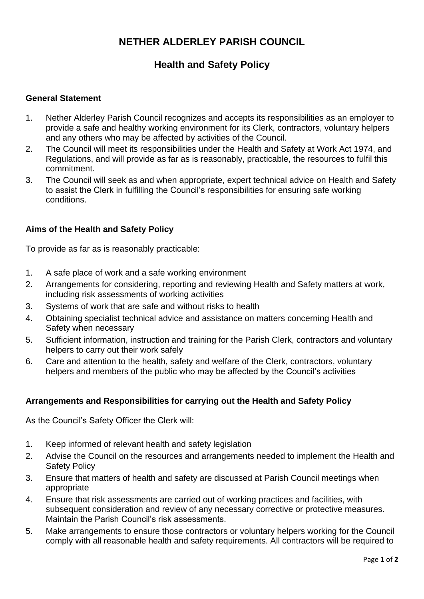# **NETHER ALDERLEY PARISH COUNCIL**

## **Health and Safety Policy**

### **General Statement**

- 1. Nether Alderley Parish Council recognizes and accepts its responsibilities as an employer to provide a safe and healthy working environment for its Clerk, contractors, voluntary helpers and any others who may be affected by activities of the Council.
- 2. The Council will meet its responsibilities under the Health and Safety at Work Act 1974, and Regulations, and will provide as far as is reasonably, practicable, the resources to fulfil this commitment.
- 3. The Council will seek as and when appropriate, expert technical advice on Health and Safety to assist the Clerk in fulfilling the Council's responsibilities for ensuring safe working conditions.

### **Aims of the Health and Safety Policy**

To provide as far as is reasonably practicable:

- 1. A safe place of work and a safe working environment
- 2. Arrangements for considering, reporting and reviewing Health and Safety matters at work, including risk assessments of working activities
- 3. Systems of work that are safe and without risks to health
- 4. Obtaining specialist technical advice and assistance on matters concerning Health and Safety when necessary
- 5. Sufficient information, instruction and training for the Parish Clerk, contractors and voluntary helpers to carry out their work safely
- 6. Care and attention to the health, safety and welfare of the Clerk, contractors, voluntary helpers and members of the public who may be affected by the Council's activities

### **Arrangements and Responsibilities for carrying out the Health and Safety Policy**

As the Council's Safety Officer the Clerk will:

- 1. Keep informed of relevant health and safety legislation
- 2. Advise the Council on the resources and arrangements needed to implement the Health and Safety Policy
- 3. Ensure that matters of health and safety are discussed at Parish Council meetings when appropriate
- 4. Ensure that risk assessments are carried out of working practices and facilities, with subsequent consideration and review of any necessary corrective or protective measures. Maintain the Parish Council's risk assessments.
- 5. Make arrangements to ensure those contractors or voluntary helpers working for the Council comply with all reasonable health and safety requirements. All contractors will be required to